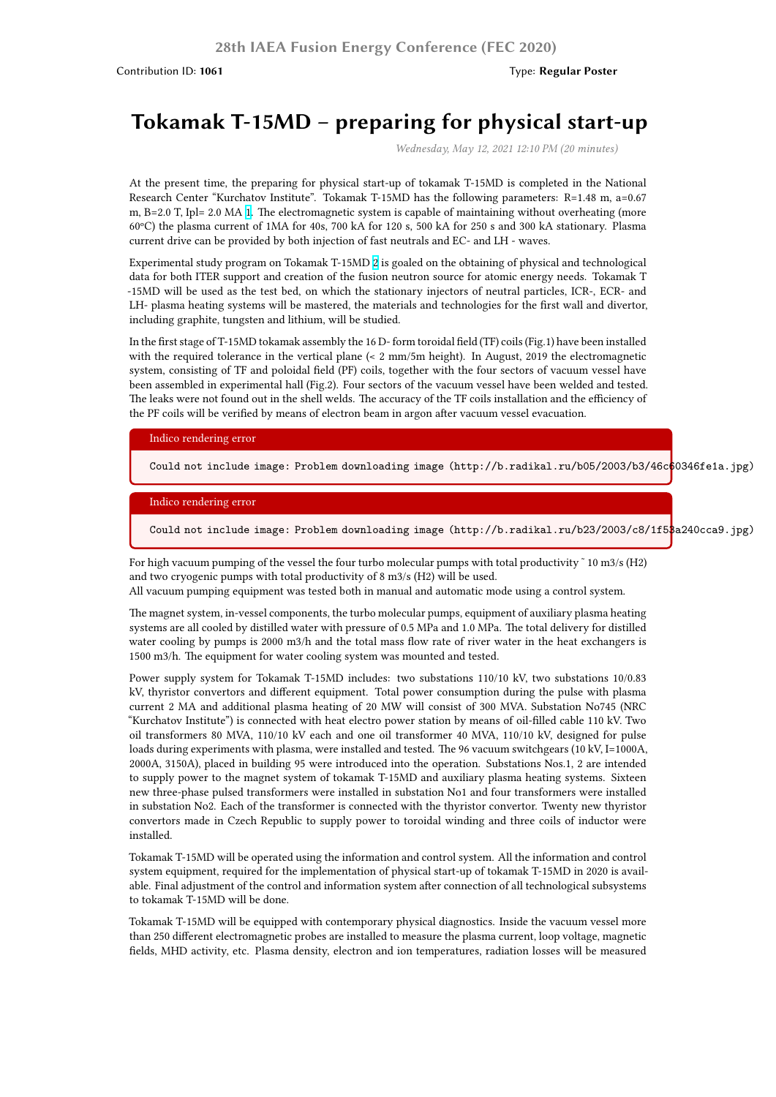# **Tokamak T-15MD – preparing for physical start-up**

*Wednesday, May 12, 2021 12:10 PM (20 minutes)*

At the present time, the preparing for physical start-up of tokamak T-15MD is completed in the National Research Center "Kurchatov Institute". Tokamak T-15MD has the following parameters: R=1.48 m, a=0.67 m, B=2.0 T, Ipl= 2.0 MA 1. The electromagnetic system is capable of maintaining without overheating (more 60ºC) the plasma current of 1MA for 40s, 700 kA for 120 s, 500 kA for 250 s and 300 kA stationary. Plasma current drive can be provided by both injection of fast neutrals and EC- and LH - waves.

Experimental study program on Tokamak T-15MD 2 is goaled on the obtaining of physical and technological data for both ITER sup[po](http://b.radikal.ru/b05/2003/b3/46c60346fe1a.jpg)rt and creation of the fusion neutron source for atomic energy needs. Tokamak T -15MD will be used as the test bed, on which the stationary injectors of neutral particles, ICR-, ECR- and LH- plasma heating systems will be mastered, the materials and technologies for the first wall and divertor, including graphite, tungsten and lithium, will be st[ud](http://b.radikal.ru/b23/2003/c8/1f53a240cca9.jpg)ied.

In the first stage of T-15MD tokamak assembly the 16 D- form toroidal field (TF) coils (Fig.1) have been installed with the required tolerance in the vertical plane (< 2 mm/5m height). In August, 2019 the electromagnetic system, consisting of TF and poloidal field (PF) coils, together with the four sectors of vacuum vessel have been assembled in experimental hall (Fig.2). Four sectors of the vacuum vessel have been welded and tested. The leaks were not found out in the shell welds. The accuracy of the TF coils installation and the efficiency of the PF coils will be verified by means of electron beam in argon after vacuum vessel evacuation.

#### Indico rendering error

Could not include image: Problem downloading image (http://b.radikal.ru/b05/2003/b3/46c60346fe1a.jpg)

#### Indico rendering error

Could not include image: Problem downloading image (http://b.radikal.ru/b23/2003/c8/1f53a240cca9.jpg)

For high vacuum pumping of the vessel the four turbo molecular pumps with total productivity  $\tilde{ }$  10 m3/s (H2) and two cryogenic pumps with total productivity of 8 m3/s (H2) will be used.

All vacuum pumping equipment was tested both in manual and automatic mode using a control system.

The magnet system, in-vessel components, the turbo molecular pumps, equipment of auxiliary plasma heating systems are all cooled by distilled water with pressure of 0.5 MPa and 1.0 MPa. The total delivery for distilled water cooling by pumps is 2000 m3/h and the total mass flow rate of river water in the heat exchangers is 1500 m3/h. The equipment for water cooling system was mounted and tested.

Power supply system for Tokamak T-15MD includes: two substations 110/10 kV, two substations 10/0.83 kV, thyristor convertors and different equipment. Total power consumption during the pulse with plasma current 2 MA and additional plasma heating of 20 MW will consist of 300 MVA. Substation No745 (NRC "Kurchatov Institute") is connected with heat electro power station by means of oil-filled cable 110 kV. Two oil transformers 80 MVA, 110/10 kV each and one oil transformer 40 MVA, 110/10 kV, designed for pulse loads during experiments with plasma, were installed and tested. The 96 vacuum switchgears (10 kV, I=1000A, 2000A, 3150A), placed in building 95 were introduced into the operation. Substations Nos.1, 2 are intended to supply power to the magnet system of tokamak T-15MD and auxiliary plasma heating systems. Sixteen new three-phase pulsed transformers were installed in substation No1 and four transformers were installed in substation No2. Each of the transformer is connected with the thyristor convertor. Twenty new thyristor convertors made in Czech Republic to supply power to toroidal winding and three coils of inductor were installed.

Tokamak T-15MD will be operated using the information and control system. All the information and control system equipment, required for the implementation of physical start-up of tokamak T-15MD in 2020 is available. Final adjustment of the control and information system after connection of all technological subsystems to tokamak T-15MD will be done.

Tokamak T-15MD will be equipped with contemporary physical diagnostics. Inside the vacuum vessel more than 250 different electromagnetic probes are installed to measure the plasma current, loop voltage, magnetic fields, MHD activity, etc. Plasma density, electron and ion temperatures, radiation losses will be measured